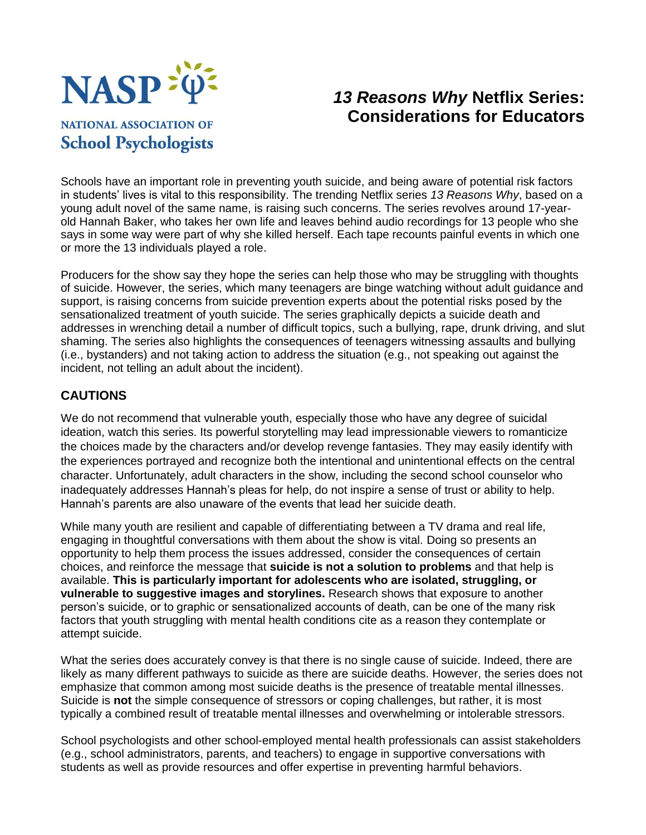

# *13 Reasons Why* **Netflix Series: Considerations for Educators**

## **NATIONAL ASSOCIATION OF School Psychologists**

Schools have an important role in preventing youth suicide, and being aware of potential risk factors in students' lives is vital to this responsibility. The trending Netflix series *13 Reasons Why*, based on a young adult novel of the same name, is raising such concerns. The series revolves around 17-yearold Hannah Baker, who takes her own life and leaves behind audio recordings for 13 people who she says in some way were part of why she killed herself. Each tape recounts painful events in which one or more the 13 individuals played a role.

Producers for the show say they hope the series can help those who may be struggling with thoughts of suicide. However, the series, which many teenagers are binge watching without adult guidance and support, is raising concerns from suicide prevention experts about the potential risks posed by the sensationalized treatment of youth suicide. The series graphically depicts a suicide death and addresses in wrenching detail a number of difficult topics, such a bullying, rape, drunk driving, and slut shaming. The series also highlights the consequences of teenagers witnessing assaults and bullying (i.e., bystanders) and not taking action to address the situation (e.g., not speaking out against the incident, not telling an adult about the incident).

#### **CAUTIONS**

We do not recommend that vulnerable youth, especially those who have any degree of suicidal ideation, watch this series. Its powerful storytelling may lead impressionable viewers to romanticize the choices made by the characters and/or develop revenge fantasies. They may easily identify with the experiences portrayed and recognize both the intentional and unintentional effects on the central character. Unfortunately, adult characters in the show, including the second school counselor who inadequately addresses Hannah's pleas for help, do not inspire a sense of trust or ability to help. Hannah's parents are also unaware of the events that lead her suicide death.

While many youth are resilient and capable of differentiating between a TV drama and real life, engaging in thoughtful conversations with them about the show is vital. Doing so presents an opportunity to help them process the issues addressed, consider the consequences of certain choices, and reinforce the message that **suicide is not a solution to problems** and that help is available. **This is particularly important for adolescents who are isolated, struggling, or vulnerable to suggestive images and storylines.** Research shows that exposure to another person's suicide, or to graphic or sensationalized accounts of death, can be one of the many risk factors that youth struggling with mental health conditions cite as a reason they contemplate or attempt suicide.

What the series does accurately convey is that there is no single cause of suicide. Indeed, there are likely as many different pathways to suicide as there are suicide deaths. However, the series does not emphasize that common among most suicide deaths is the presence of treatable mental illnesses. Suicide is **not** the simple consequence of stressors or coping challenges, but rather, it is most typically a combined result of treatable mental illnesses and overwhelming or intolerable stressors.

School psychologists and other school-employed mental health professionals can assist stakeholders (e.g., school administrators, parents, and teachers) to engage in supportive conversations with students as well as provide resources and offer expertise in preventing harmful behaviors.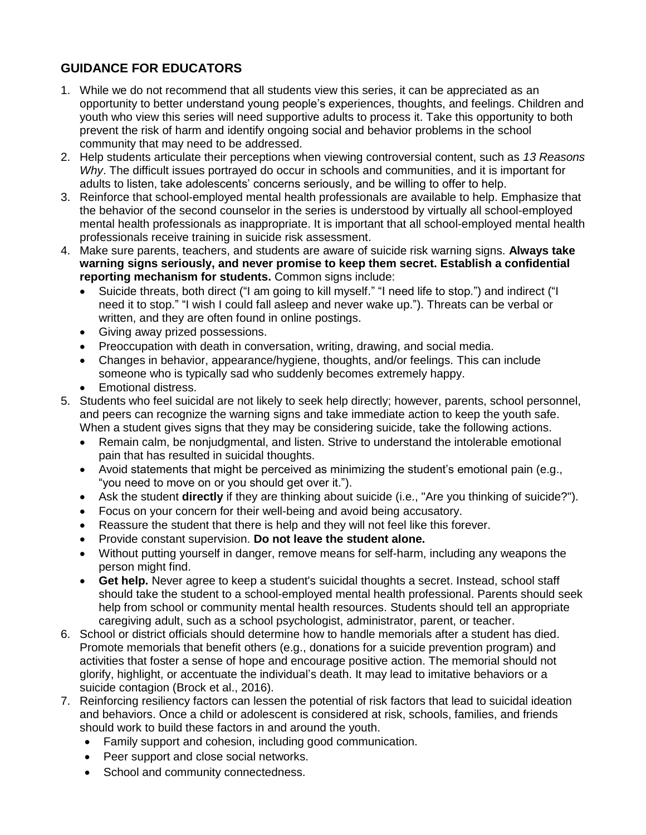### **GUIDANCE FOR EDUCATORS**

- 1. While we do not recommend that all students view this series, it can be appreciated as an opportunity to better understand young people's experiences, thoughts, and feelings. Children and youth who view this series will need supportive adults to process it. Take this opportunity to both prevent the risk of harm and identify ongoing social and behavior problems in the school community that may need to be addressed.
- 2. Help students articulate their perceptions when viewing controversial content, such as *13 Reasons Why*. The difficult issues portrayed do occur in schools and communities, and it is important for adults to listen, take adolescents' concerns seriously, and be willing to offer to help.
- 3. Reinforce that school-employed mental health professionals are available to help. Emphasize that the behavior of the second counselor in the series is understood by virtually all school-employed mental health professionals as inappropriate. It is important that all school-employed mental health professionals receive training in suicide risk assessment.
- 4. Make sure parents, teachers, and students are aware of suicide risk warning signs. **Always take warning signs seriously, and never promise to keep them secret. Establish a confidential reporting mechanism for students.** Common signs include:
	- Suicide threats, both direct ("I am going to kill myself." "I need life to stop.") and indirect ("I need it to stop." "I wish I could fall asleep and never wake up."). Threats can be verbal or written, and they are often found in online postings.
	- Giving away prized possessions.
	- Preoccupation with death in conversation, writing, drawing, and social media.
	- Changes in behavior, appearance/hygiene, thoughts, and/or feelings. This can include someone who is typically sad who suddenly becomes extremely happy.
	- Emotional distress.
- 5. Students who feel suicidal are not likely to seek help directly; however, parents, school personnel, and peers can recognize the warning signs and take immediate action to keep the youth safe. When a student gives signs that they may be considering suicide, take the following actions.
	- Remain calm, be nonjudgmental, and listen. Strive to understand the intolerable emotional pain that has resulted in suicidal thoughts.
	- Avoid statements that might be perceived as minimizing the student's emotional pain (e.g., "you need to move on or you should get over it.").
	- Ask the student **directly** if they are thinking about suicide (i.e., "Are you thinking of suicide?").
	- Focus on your concern for their well-being and avoid being accusatory.
	- Reassure the student that there is help and they will not feel like this forever.
	- Provide constant supervision. **Do not leave the student alone.**
	- Without putting yourself in danger, remove means for self-harm, including any weapons the person might find.
	- **Get help.** Never agree to keep a student's suicidal thoughts a secret. Instead, school staff should take the student to a school-employed mental health professional. Parents should seek help from school or community mental health resources. Students should tell an appropriate caregiving adult, such as a school psychologist, administrator, parent, or teacher.
- 6. School or district officials should determine how to handle memorials after a student has died. Promote memorials that benefit others (e.g., donations for a suicide prevention program) and activities that foster a sense of hope and encourage positive action. The memorial should not glorify, highlight, or accentuate the individual's death. It may lead to imitative behaviors or a suicide contagion (Brock et al., 2016).
- 7. Reinforcing resiliency factors can lessen the potential of risk factors that lead to suicidal ideation and behaviors. Once a child or adolescent is considered at risk, schools, families, and friends should work to build these factors in and around the youth.
	- Family support and cohesion, including good communication.
	- Peer support and close social networks.
	- School and community connectedness.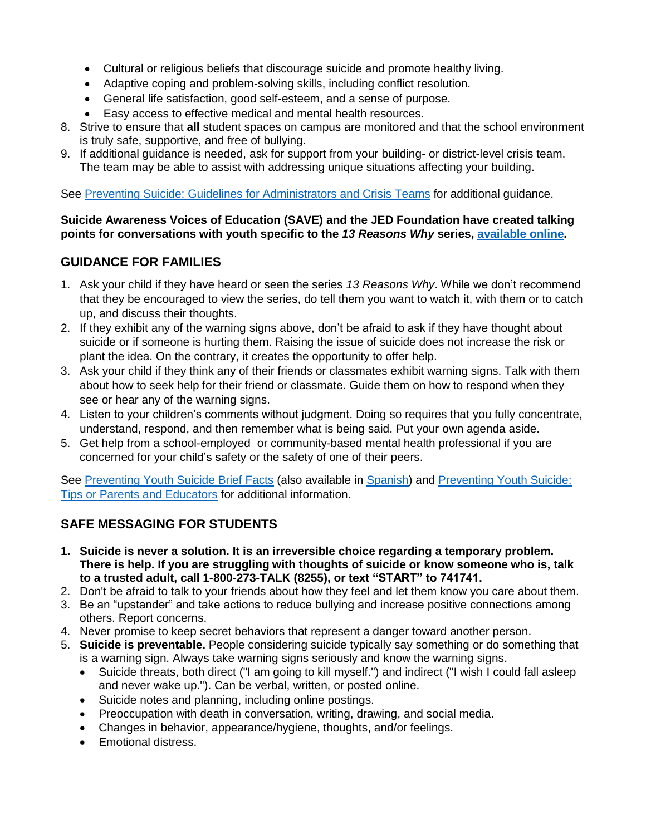- Cultural or religious beliefs that discourage suicide and promote healthy living.
- Adaptive coping and problem-solving skills, including conflict resolution.
- General life satisfaction, good self-esteem, and a sense of purpose.
- Easy access to effective medical and mental health resources.
- 8. Strive to ensure that **all** student spaces on campus are monitored and that the school environment is truly safe, supportive, and free of bullying.
- 9. If additional guidance is needed, ask for support from your building- or district-level crisis team. The team may be able to assist with addressing unique situations affecting your building.

See [Preventing Suicide: Guidelines for Administrators and Crisis Teams](http://www.nasponline.org/resources-and-publications/resources/school-safety-and-crisis/preventing-youth-suicide/preventing-suicide-guidelines-for-administrators-and-crisis-teams) for additional guidance.

#### **Suicide Awareness Voices of Education (SAVE) and the JED Foundation have created talking points for conversations with youth specific to the** *13 Reasons Why* **series, [available online.](http://go.kognito.com/rs/143-HCJ-270/images/PK12_Webinar_041117_13ReasonsWhyTalkingTips.pdf?mkt_tok=eyJpIjoiTldFeFl6VTNNekJqWXpsbCIsInQiOiJNMlBDeGdWOW82YmQ5d3RQM2duRXJGdG9ZSncyK2JkYVVmRjcwdVFrdms2dEtNY2V3Q21ETTFidXo2bnNiaTFxNk5CNTYrY0JybllKSjZBY1MyckU4Y0dTVzEyaVJlRHd5Y2h2RkRNWmFqV0N3Wmo2SFdncERSRlMzbU5Oc2JGUyJ9)**

#### **GUIDANCE FOR FAMILIES**

- 1. Ask your child if they have heard or seen the series *13 Reasons Why*. While we don't recommend that they be encouraged to view the series, do tell them you want to watch it, with them or to catch up, and discuss their thoughts.
- 2. If they exhibit any of the warning signs above, don't be afraid to ask if they have thought about suicide or if someone is hurting them. Raising the issue of suicide does not increase the risk or plant the idea. On the contrary, it creates the opportunity to offer help.
- 3. Ask your child if they think any of their friends or classmates exhibit warning signs. Talk with them about how to seek help for their friend or classmate. Guide them on how to respond when they see or hear any of the warning signs.
- 4. Listen to your children's comments without judgment. Doing so requires that you fully concentrate, understand, respond, and then remember what is being said. Put your own agenda aside.
- 5. Get help from a school-employed or community-based mental health professional if you are concerned for your child's safety or the safety of one of their peers.

See [Preventing Youth Suicide Brief Facts](http://www.nasponline.org/resources-and-publications/resources/school-safety-and-crisis/preventing-youth-suicide/preventing-youth-suicide-tips-for-parents-and-educators) (also available in [Spanish\)](http://www.nasponline.org/Documents/Resources%20and%20Publications/Handouts/Safety%20and%20Crisis/Preventing_Youth_Suicide_Brief_Facts_SPANISH.pdf) and [Preventing Youth Suicide:](http://www.nasponline.org/resources-and-publications/resources/school-safety-and-crisis/preventing-youth-suicide/preventing-youth-suicide-tips-for-parents-and-educators) [Tips or Parents and Educators](http://www.nasponline.org/resources-and-publications/resources/school-safety-and-crisis/preventing-youth-suicide/preventing-youth-suicide-tips-for-parents-and-educators) for additional information.

#### **SAFE MESSAGING FOR STUDENTS**

- **1. Suicide is never a solution. It is an irreversible choice regarding a temporary problem. There is help. If you are struggling with thoughts of suicide or know someone who is, talk to a trusted adult, call 1-800-273-TALK (8255), or text "START" to 741741.**
- 2. Don't be afraid to talk to your friends about how they feel and let them know you care about them.
- 3. Be an "upstander" and take actions to reduce bullying and increase positive connections among others. Report concerns.
- 4. Never promise to keep secret behaviors that represent a danger toward another person.
- 5. **Suicide is preventable.** People considering suicide typically say something or do something that is a warning sign. Always take warning signs seriously and know the warning signs.
	- Suicide threats, both direct ("I am going to kill myself.") and indirect ("I wish I could fall asleep and never wake up."). Can be verbal, written, or posted online.
	- Suicide notes and planning, including online postings.
	- Preoccupation with death in conversation, writing, drawing, and social media.
	- Changes in behavior, appearance/hygiene, thoughts, and/or feelings.
	- Emotional distress.